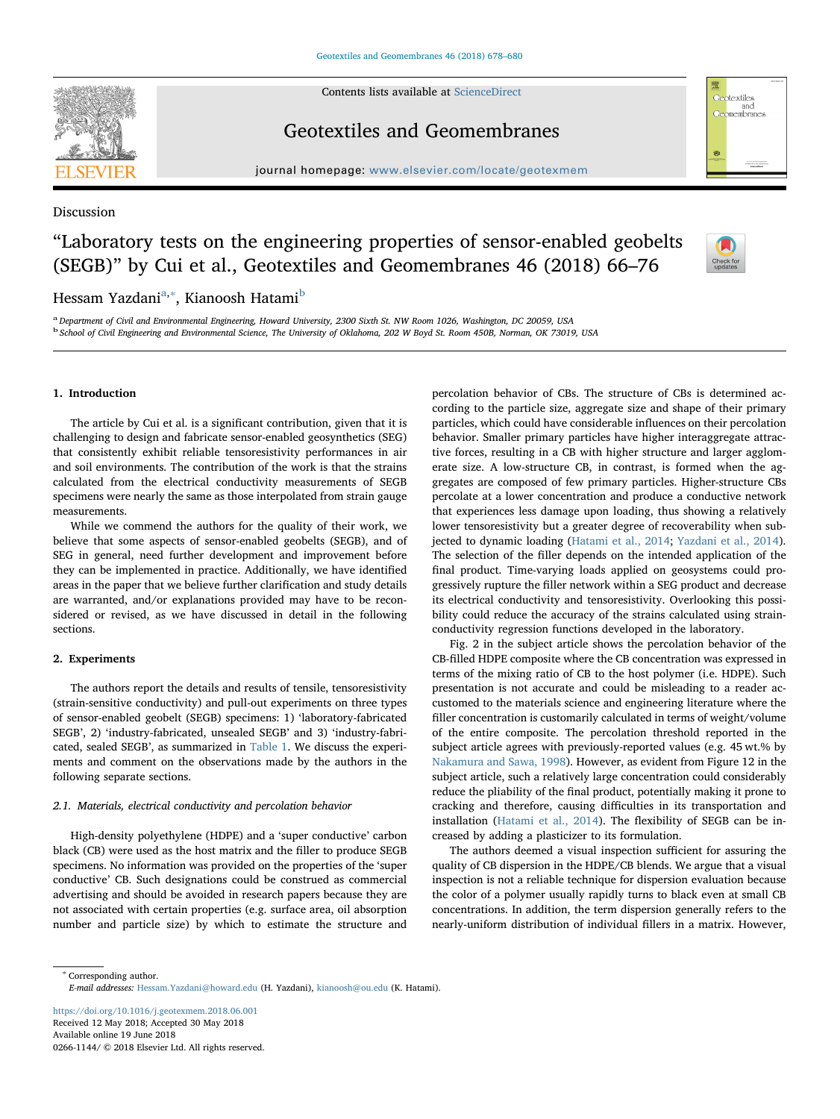Contents lists available at [ScienceDirect](http://www.sciencedirect.com/science/journal/02661144)



# Geotextiles and Geomembranes



journal homepage: [www.elsevier.com/locate/geotexmem](https://www.elsevier.com/locate/geotexmem)

Discussion

"Laboratory tests on the engineering properties of sensor-enabled geobelts (SEGB)" by Cui et al., Geotextiles and Geomembranes 46 (2018) 66–76



Hess[a](#page-0-0)m Yazdani<sup>a,[∗](#page-0-1)</sup>, Kianoosh Hatami<sup>[b](#page-0-2)</sup>

<span id="page-0-2"></span><span id="page-0-0"></span><sup>a</sup> Department of Civil and Environmental Engineering, Howard University, 2300 Sixth St. NW Room 1026, Washington, DC 20059, USA <sup>b</sup> School of Civil Engineering and Environmental Science, The University of Oklahoma, 202 W Boyd St. Room 450B, Norman, OK 73019, USA

# 1. Introduction

The article by Cui et al. is a significant contribution, given that it is challenging to design and fabricate sensor-enabled geosynthetics (SEG) that consistently exhibit reliable tensoresistivity performances in air and soil environments. The contribution of the work is that the strains calculated from the electrical conductivity measurements of SEGB specimens were nearly the same as those interpolated from strain gauge measurements.

While we commend the authors for the quality of their work, we believe that some aspects of sensor-enabled geobelts (SEGB), and of SEG in general, need further development and improvement before they can be implemented in practice. Additionally, we have identified areas in the paper that we believe further clarification and study details are warranted, and/or explanations provided may have to be reconsidered or revised, as we have discussed in detail in the following sections.

## 2. Experiments

The authors report the details and results of tensile, tensoresistivity (strain-sensitive conductivity) and pull-out experiments on three types of sensor-enabled geobelt (SEGB) specimens: 1) 'laboratory-fabricated SEGB', 2) 'industry-fabricated, unsealed SEGB' and 3) 'industry-fabricated, sealed SEGB', as summarized in [Table 1](#page-1-0). We discuss the experiments and comment on the observations made by the authors in the following separate sections.

## 2.1. Materials, electrical conductivity and percolation behavior

High-density polyethylene (HDPE) and a 'super conductive' carbon black (CB) were used as the host matrix and the filler to produce SEGB specimens. No information was provided on the properties of the 'super conductive' CB. Such designations could be construed as commercial advertising and should be avoided in research papers because they are not associated with certain properties (e.g. surface area, oil absorption number and particle size) by which to estimate the structure and

percolation behavior of CBs. The structure of CBs is determined according to the particle size, aggregate size and shape of their primary particles, which could have considerable influences on their percolation behavior. Smaller primary particles have higher interaggregate attractive forces, resulting in a CB with higher structure and larger agglomerate size. A low-structure CB, in contrast, is formed when the aggregates are composed of few primary particles. Higher-structure CBs percolate at a lower concentration and produce a conductive network that experiences less damage upon loading, thus showing a relatively lower tensoresistivity but a greater degree of recoverability when subjected to dynamic loading ([Hatami et al., 2014](#page-2-0); [Yazdani et al., 2014](#page-2-1)). The selection of the filler depends on the intended application of the final product. Time-varying loads applied on geosystems could progressively rupture the filler network within a SEG product and decrease its electrical conductivity and tensoresistivity. Overlooking this possibility could reduce the accuracy of the strains calculated using strainconductivity regression functions developed in the laboratory.

Fig. 2 in the subject article shows the percolation behavior of the CB-filled HDPE composite where the CB concentration was expressed in terms of the mixing ratio of CB to the host polymer (i.e. HDPE). Such presentation is not accurate and could be misleading to a reader accustomed to the materials science and engineering literature where the filler concentration is customarily calculated in terms of weight/volume of the entire composite. The percolation threshold reported in the subject article agrees with previously-reported values (e.g. 45 wt.% by [Nakamura and Sawa, 1998](#page-2-2)). However, as evident from Figure 12 in the subject article, such a relatively large concentration could considerably reduce the pliability of the final product, potentially making it prone to cracking and therefore, causing difficulties in its transportation and installation ([Hatami et al., 2014\)](#page-2-0). The flexibility of SEGB can be increased by adding a plasticizer to its formulation.

The authors deemed a visual inspection sufficient for assuring the quality of CB dispersion in the HDPE/CB blends. We argue that a visual inspection is not a reliable technique for dispersion evaluation because the color of a polymer usually rapidly turns to black even at small CB concentrations. In addition, the term dispersion generally refers to the nearly-uniform distribution of individual fillers in a matrix. However,

<span id="page-0-1"></span><sup>∗</sup> Corresponding author. E-mail addresses: [Hessam.Yazdani@howard.edu](mailto:Hessam.Yazdani@howard.edu) (H. Yazdani), [kianoosh@ou.edu](mailto:kianoosh@ou.edu) (K. Hatami).

<https://doi.org/10.1016/j.geotexmem.2018.06.001> Received 12 May 2018; Accepted 30 May 2018 Available online 19 June 2018 0266-1144/ © 2018 Elsevier Ltd. All rights reserved.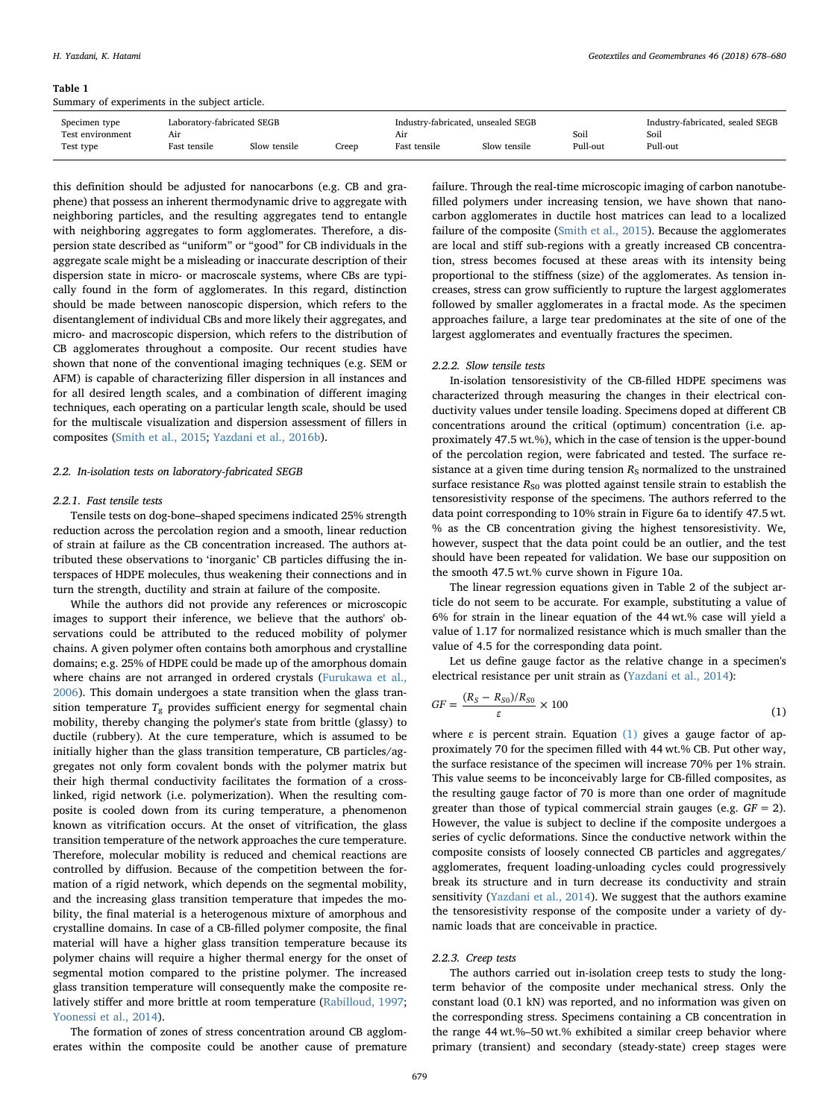#### <span id="page-1-0"></span>Table 1

Summary of experiments in the subject article.

| Specimen type    | Laboratory-fabricated SEGB |              |       | Industry-fabricated, unsealed SEGB |              |          | Industry-fabricated, sealed SEGB |
|------------------|----------------------------|--------------|-------|------------------------------------|--------------|----------|----------------------------------|
| Test environment | Air                        |              |       | Aır                                |              | Soil     | Soil                             |
| Test type        | Fast tensile               | Slow tensile | Creep | Fast tensile                       | Slow tensile | Pull-out | Pull-out                         |

this definition should be adjusted for nanocarbons (e.g. CB and graphene) that possess an inherent thermodynamic drive to aggregate with neighboring particles, and the resulting aggregates tend to entangle with neighboring aggregates to form agglomerates. Therefore, a dispersion state described as "uniform" or "good" for CB individuals in the aggregate scale might be a misleading or inaccurate description of their dispersion state in micro- or macroscale systems, where CBs are typically found in the form of agglomerates. In this regard, distinction should be made between nanoscopic dispersion, which refers to the disentanglement of individual CBs and more likely their aggregates, and micro- and macroscopic dispersion, which refers to the distribution of CB agglomerates throughout a composite. Our recent studies have shown that none of the conventional imaging techniques (e.g. SEM or AFM) is capable of characterizing filler dispersion in all instances and for all desired length scales, and a combination of different imaging techniques, each operating on a particular length scale, should be used for the multiscale visualization and dispersion assessment of fillers in composites [\(Smith et al., 2015](#page-2-3); [Yazdani et al., 2016b](#page-2-4)).

## 2.2. In-isolation tests on laboratory-fabricated SEGB

#### 2.2.1. Fast tensile tests

Tensile tests on dog-bone–shaped specimens indicated 25% strength reduction across the percolation region and a smooth, linear reduction of strain at failure as the CB concentration increased. The authors attributed these observations to 'inorganic' CB particles diffusing the interspaces of HDPE molecules, thus weakening their connections and in turn the strength, ductility and strain at failure of the composite.

While the authors did not provide any references or microscopic images to support their inference, we believe that the authors' observations could be attributed to the reduced mobility of polymer chains. A given polymer often contains both amorphous and crystalline domains; e.g. 25% of HDPE could be made up of the amorphous domain where chains are not arranged in ordered crystals ([Furukawa et al.,](#page-2-5) [2006\)](#page-2-5). This domain undergoes a state transition when the glass transition temperature  $T_g$  provides sufficient energy for segmental chain mobility, thereby changing the polymer's state from brittle (glassy) to ductile (rubbery). At the cure temperature, which is assumed to be initially higher than the glass transition temperature, CB particles/aggregates not only form covalent bonds with the polymer matrix but their high thermal conductivity facilitates the formation of a crosslinked, rigid network (i.e. polymerization). When the resulting composite is cooled down from its curing temperature, a phenomenon known as vitrification occurs. At the onset of vitrification, the glass transition temperature of the network approaches the cure temperature. Therefore, molecular mobility is reduced and chemical reactions are controlled by diffusion. Because of the competition between the formation of a rigid network, which depends on the segmental mobility, and the increasing glass transition temperature that impedes the mobility, the final material is a heterogenous mixture of amorphous and crystalline domains. In case of a CB-filled polymer composite, the final material will have a higher glass transition temperature because its polymer chains will require a higher thermal energy for the onset of segmental motion compared to the pristine polymer. The increased glass transition temperature will consequently make the composite relatively stiffer and more brittle at room temperature [\(Rabilloud, 1997](#page-2-6); [Yoonessi et al., 2014\)](#page-2-7).

The formation of zones of stress concentration around CB agglomerates within the composite could be another cause of premature failure. Through the real-time microscopic imaging of carbon nanotubefilled polymers under increasing tension, we have shown that nanocarbon agglomerates in ductile host matrices can lead to a localized failure of the composite [\(Smith et al., 2015](#page-2-3)). Because the agglomerates are local and stiff sub-regions with a greatly increased CB concentration, stress becomes focused at these areas with its intensity being proportional to the stiffness (size) of the agglomerates. As tension increases, stress can grow sufficiently to rupture the largest agglomerates followed by smaller agglomerates in a fractal mode. As the specimen approaches failure, a large tear predominates at the site of one of the largest agglomerates and eventually fractures the specimen.

#### 2.2.2. Slow tensile tests

In-isolation tensoresistivity of the CB-filled HDPE specimens was characterized through measuring the changes in their electrical conductivity values under tensile loading. Specimens doped at different CB concentrations around the critical (optimum) concentration (i.e. approximately 47.5 wt.%), which in the case of tension is the upper-bound of the percolation region, were fabricated and tested. The surface resistance at a given time during tension  $R<sub>S</sub>$  normalized to the unstrained surface resistance  $R_{SO}$  was plotted against tensile strain to establish the tensoresistivity response of the specimens. The authors referred to the data point corresponding to 10% strain in Figure 6a to identify 47.5 wt. % as the CB concentration giving the highest tensoresistivity. We, however, suspect that the data point could be an outlier, and the test should have been repeated for validation. We base our supposition on the smooth 47.5 wt.% curve shown in Figure 10a.

The linear regression equations given in Table 2 of the subject article do not seem to be accurate. For example, substituting a value of 6% for strain in the linear equation of the 44 wt.% case will yield a value of 1.17 for normalized resistance which is much smaller than the value of 4.5 for the corresponding data point.

<span id="page-1-1"></span>Let us define gauge factor as the relative change in a specimen's electrical resistance per unit strain as [\(Yazdani et al., 2014\)](#page-2-1):

$$
GF = \frac{(R_S - R_{S0})/R_{S0}}{\varepsilon} \times 100
$$
\n(1)

where  $\varepsilon$  is percent strain. Equation [\(1\)](#page-1-1) gives a gauge factor of approximately 70 for the specimen filled with 44 wt.% CB. Put other way, the surface resistance of the specimen will increase 70% per 1% strain. This value seems to be inconceivably large for CB-filled composites, as the resulting gauge factor of 70 is more than one order of magnitude greater than those of typical commercial strain gauges (e.g.  $GF = 2$ ). However, the value is subject to decline if the composite undergoes a series of cyclic deformations. Since the conductive network within the composite consists of loosely connected CB particles and aggregates/ agglomerates, frequent loading-unloading cycles could progressively break its structure and in turn decrease its conductivity and strain sensitivity ([Yazdani et al., 2014](#page-2-1)). We suggest that the authors examine the tensoresistivity response of the composite under a variety of dynamic loads that are conceivable in practice.

## 2.2.3. Creep tests

The authors carried out in-isolation creep tests to study the longterm behavior of the composite under mechanical stress. Only the constant load (0.1 kN) was reported, and no information was given on the corresponding stress. Specimens containing a CB concentration in the range 44 wt.%–50 wt.% exhibited a similar creep behavior where primary (transient) and secondary (steady-state) creep stages were